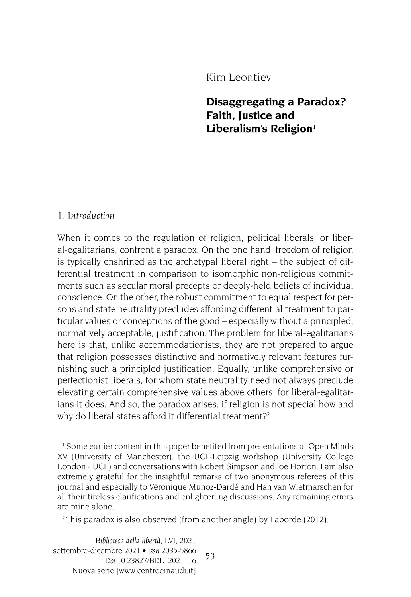Kim Leontiev

**Disaggregating a Paradox? Faith, Justice and**  Liberalism's Religion<sup>1</sup>

# *1. Introduction*

When it comes to the regulation of religion, political liberals, or liberal-egalitarians, confront a paradox. On the one hand, freedom of religion is typically enshrined as the archetypal liberal right – the subject of differential treatment in comparison to isomorphic non-religious commitments such as secular moral precepts or deeply-held beliefs of individual conscience. On the other, the robust commitment to equal respect for persons and state neutrality precludes affording differential treatment to particular values or conceptions of the good – especially without a principled, normatively acceptable, justification. The problem for liberal-egalitarians here is that, unlike accommodationists, they are not prepared to argue that religion possesses distinctive and normatively relevant features furnishing such a principled justification. Equally, unlike comprehensive or perfectionist liberals, for whom state neutrality need not always preclude elevating certain comprehensive values above others, for liberal-egalitarians it does. And so, the paradox arises: if religion is not special how and why do liberal states afford it differential treatment?<sup>2</sup>

2 This paradox is also observed (from another angle) by Laborde (2012).

<sup>&</sup>lt;sup>1</sup> Some earlier content in this paper benefited from presentations at Open Minds XV (University of Manchester), the UCL-Leipzig workshop (University College London - UCL) and conversations with Robert Simpson and Joe Horton. I am also extremely grateful for the insightful remarks of two anonymous referees of this journal and especially to Véronique Munoz-Dardé and Han van Wietmarschen for all their tireless clarifications and enlightening discussions. Any remaining errors are mine alone.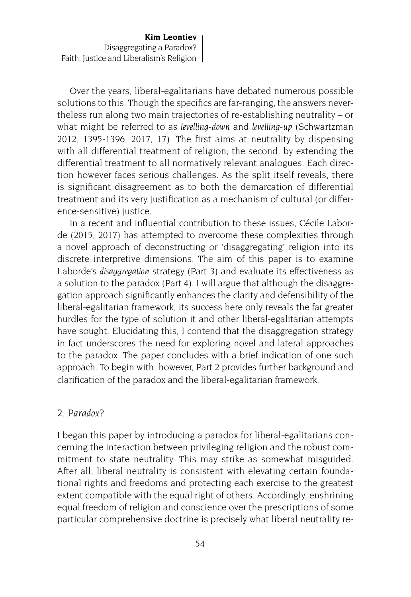Over the years, liberal-egalitarians have debated numerous possible solutions to this. Though the specifics are far-ranging, the answers nevertheless run along two main trajectories of re-establishing neutrality – or what might be referred to as *levelling-down* and *levelling-up* (Schwartzman 2012, 1395-1396; 2017, 17). The first aims at neutrality by dispensing with all differential treatment of religion; the second, by extending the differential treatment to all normatively relevant analogues. Each direction however faces serious challenges. As the split itself reveals, there is significant disagreement as to both the demarcation of differential treatment and its very justification as a mechanism of cultural (or difference-sensitive) justice.

In a recent and influential contribution to these issues, Cécile Laborde (2015; 2017) has attempted to overcome these complexities through a novel approach of deconstructing or 'disaggregating' religion into its discrete interpretive dimensions. The aim of this paper is to examine Laborde's *disaggregation* strategy (Part 3) and evaluate its effectiveness as a solution to the paradox (Part 4). I will argue that although the disaggregation approach significantly enhances the clarity and defensibility of the liberal-egalitarian framework, its success here only reveals the far greater hurdles for the type of solution it and other liberal-egalitarian attempts have sought. Elucidating this, I contend that the disaggregation strategy in fact underscores the need for exploring novel and lateral approaches to the paradox. The paper concludes with a brief indication of one such approach. To begin with, however, Part 2 provides further background and clarification of the paradox and the liberal-egalitarian framework.

#### *2. Paradox?*

I began this paper by introducing a paradox for liberal-egalitarians concerning the interaction between privileging religion and the robust commitment to state neutrality. This may strike as somewhat misguided. After all, liberal neutrality is consistent with elevating certain foundational rights and freedoms and protecting each exercise to the greatest extent compatible with the equal right of others. Accordingly, enshrining equal freedom of religion and conscience over the prescriptions of some particular comprehensive doctrine is precisely what liberal neutrality re-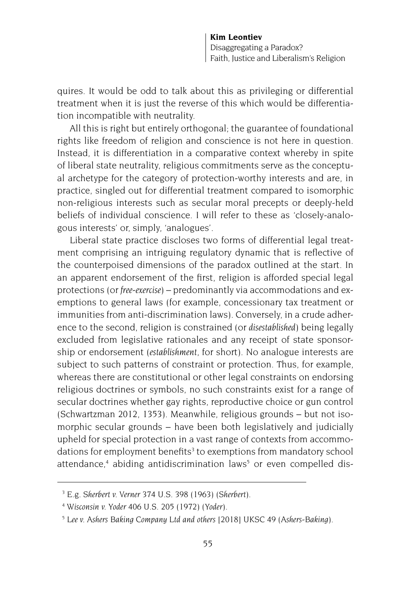quires. It would be odd to talk about this as privileging or differential treatment when it is just the reverse of this which would be differentiation incompatible with neutrality.

All this is right but entirely orthogonal; the guarantee of foundational rights like freedom of religion and conscience is not here in question. Instead, it is differentiation in a comparative context whereby in spite of liberal state neutrality, religious commitments serve as the conceptual archetype for the category of protection-worthy interests and are, in practice, singled out for differential treatment compared to isomorphic non-religious interests such as secular moral precepts or deeply-held beliefs of individual conscience. I will refer to these as 'closely-analogous interests' or, simply, 'analogues'.

Liberal state practice discloses two forms of differential legal treatment comprising an intriguing regulatory dynamic that is reflective of the counterpoised dimensions of the paradox outlined at the start. In an apparent endorsement of the first, religion is afforded special legal protections (or *free-exercise*) – predominantly via accommodations and exemptions to general laws (for example, concessionary tax treatment or immunities from anti-discrimination laws). Conversely, in a crude adherence to the second, religion is constrained (or *disestablished*) being legally excluded from legislative rationales and any receipt of state sponsorship or endorsement (*establishment*, for short). No analogue interests are subject to such patterns of constraint or protection. Thus, for example, whereas there are constitutional or other legal constraints on endorsing religious doctrines or symbols, no such constraints exist for a range of secular doctrines whether gay rights, reproductive choice or gun control (Schwartzman 2012, 1353). Meanwhile, religious grounds – but not isomorphic secular grounds – have been both legislatively and judicially upheld for special protection in a vast range of contexts from accommodations for employment benefits<sup>3</sup> to exemptions from mandatory school attendance,<sup>4</sup> abiding antidiscrimination laws<sup>5</sup> or even compelled dis-

<sup>3</sup> E.g. *Sherbert v. Verner* 374 U.S. 398 (1963) (*Sherbert*).

<sup>4</sup> *Wisconsin v. Yoder* 406 U.S. 205 (1972) (*Yoder*).

<sup>5</sup> *Lee v. Ashers Baking Company Ltd and others* [2018] UKSC 49 (*Ashers-Baking*).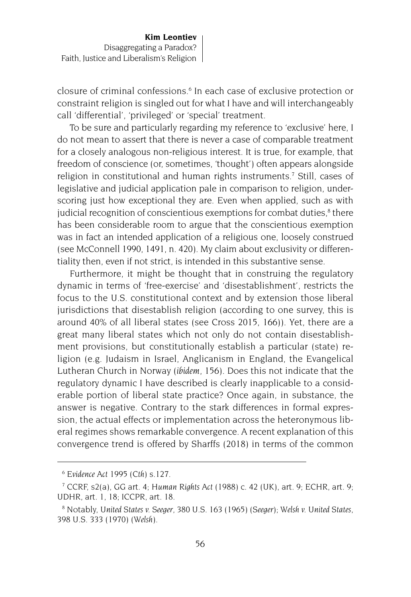closure of criminal confessions.<sup>6</sup> In each case of exclusive protection or constraint religion is singled out for what I have and will interchangeably call 'differential', 'privileged' or 'special' treatment.

To be sure and particularly regarding my reference to 'exclusive' here, I do not mean to assert that there is never a case of comparable treatment for a closely analogous non-religious interest. It is true, for example, that freedom of conscience (or, sometimes, 'thought') often appears alongside religion in constitutional and human rights instruments.<sup>7</sup> Still, cases of legislative and judicial application pale in comparison to religion, underscoring just how exceptional they are. Even when applied, such as with judicial recognition of conscientious exemptions for combat duties,<sup>8</sup> there has been considerable room to argue that the conscientious exemption was in fact an intended application of a religious one, loosely construed (see McConnell 1990, 1491, n. 420). My claim about exclusivity or differentiality then, even if not strict, is intended in this substantive sense.

Furthermore, it might be thought that in construing the regulatory dynamic in terms of 'free-exercise' and 'disestablishment', restricts the focus to the U.S. constitutional context and by extension those liberal jurisdictions that disestablish religion (according to one survey, this is around 40% of all liberal states (see Cross 2015, 166)). Yet, there are a great many liberal states which not only do not contain disestablishment provisions, but constitutionally establish a particular (state) religion (e.g. Judaism in Israel, Anglicanism in England, the Evangelical Lutheran Church in Norway (*ibidem*, 156). Does this not indicate that the regulatory dynamic I have described is clearly inapplicable to a considerable portion of liberal state practice? Once again, in substance, the answer is negative. Contrary to the stark differences in formal expression, the actual effects or implementation across the heteronymous liberal regimes shows remarkable convergence. A recent explanation of this convergence trend is offered by Sharffs (2018) in terms of the common

<sup>6</sup> *Evidence Act 1995 (Cth)* s.127.

<sup>7</sup> CCRF, s2(a), GG art. 4; *Human Rights Act* (1988) c. 42 (UK), art. 9; ECHR, art. 9; UDHR, art. 1, 18; ICCPR, art. 18.

<sup>8</sup> Notably, *United States v. Seeger*, 380 U.S. 163 (1965) (*Seeger*); *Welsh v. United States*, 398 U.S. 333 (1970) (*Welsh*).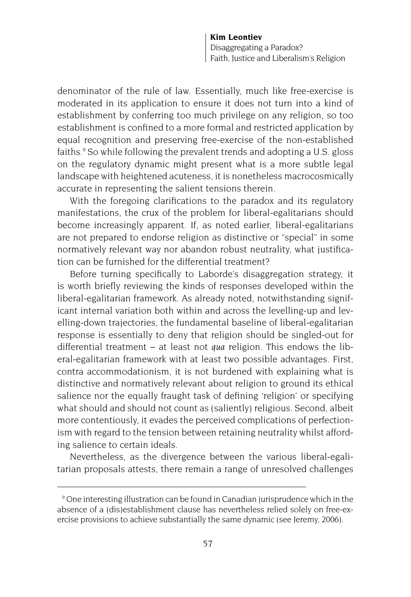denominator of the rule of law. Essentially, much like free-exercise is moderated in its application to ensure it does not turn into a kind of establishment by conferring too much privilege on any religion, so too establishment is confined to a more formal and restricted application by equal recognition and preserving free-exercise of the non-established faiths.<sup>9</sup> So while following the prevalent trends and adopting a U.S. gloss on the regulatory dynamic might present what is a more subtle legal landscape with heightened acuteness, it is nonetheless macrocosmically accurate in representing the salient tensions therein.

With the foregoing clarifications to the paradox and its regulatory manifestations, the crux of the problem for liberal-egalitarians should become increasingly apparent. If, as noted earlier, liberal-egalitarians are not prepared to endorse religion as distinctive or "special" in some normatively relevant way nor abandon robust neutrality, what justification can be furnished for the differential treatment?

Before turning specifically to Laborde's disaggregation strategy, it is worth briefly reviewing the kinds of responses developed within the liberal-egalitarian framework. As already noted, notwithstanding significant internal variation both within and across the levelling-up and levelling-down trajectories, the fundamental baseline of liberal-egalitarian response is essentially to deny that religion should be singled-out for differential treatment – at least not *qua* religion. This endows the liberal-egalitarian framework with at least two possible advantages. First, contra accommodationism, it is not burdened with explaining what is distinctive and normatively relevant about religion to ground its ethical salience nor the equally fraught task of defining 'religion' or specifying what should and should not count as (saliently) religious. Second, albeit more contentiously, it evades the perceived complications of perfectionism with regard to the tension between retaining neutrality whilst affording salience to certain ideals.

Nevertheless, as the divergence between the various liberal-egalitarian proposals attests, there remain a range of unresolved challenges

<sup>9</sup> One interesting illustration can be found in Canadian jurisprudence which in the absence of a (dis)establishment clause has nevertheless relied solely on free-exercise provisions to achieve substantially the same dynamic (see Jeremy, 2006).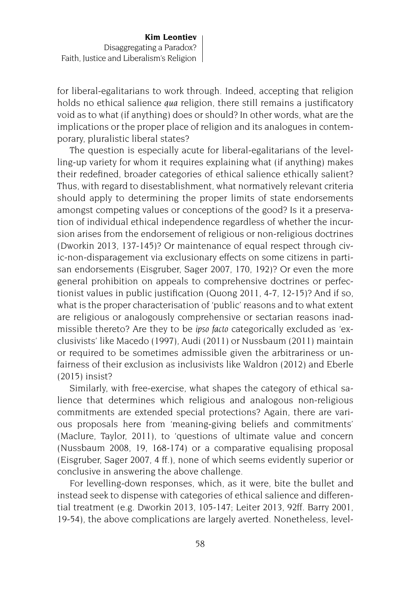for liberal-egalitarians to work through. Indeed, accepting that religion holds no ethical salience *qua* religion, there still remains a justificatory void as to what (if anything) does or should? In other words, what are the implications or the proper place of religion and its analogues in contemporary, pluralistic liberal states?

The question is especially acute for liberal-egalitarians of the levelling-up variety for whom it requires explaining what (if anything) makes their redefined, broader categories of ethical salience ethically salient? Thus, with regard to disestablishment, what normatively relevant criteria should apply to determining the proper limits of state endorsements amongst competing values or conceptions of the good? Is it a preservation of individual ethical independence regardless of whether the incursion arises from the endorsement of religious or non-religious doctrines (Dworkin 2013, 137-145)? Or maintenance of equal respect through civic-non-disparagement via exclusionary effects on some citizens in partisan endorsements (Eisgruber, Sager 2007, 170, 192)? Or even the more general prohibition on appeals to comprehensive doctrines or perfectionist values in public justification (Quong 2011, 4-7, 12-15)? And if so, what is the proper characterisation of 'public' reasons and to what extent are religious or analogously comprehensive or sectarian reasons inadmissible thereto? Are they to be *ipso facto* categorically excluded as 'exclusivists' like Macedo (1997), Audi (2011) or Nussbaum (2011) maintain or required to be sometimes admissible given the arbitrariness or unfairness of their exclusion as inclusivists like Waldron (2012) and Eberle (2015) insist?

Similarly, with free-exercise, what shapes the category of ethical salience that determines which religious and analogous non-religious commitments are extended special protections? Again, there are various proposals here from 'meaning-giving beliefs and commitments' (Maclure, Taylor, 2011), to 'questions of ultimate value and concern (Nussbaum 2008, 19, 168-174) or a comparative equalising proposal (Eisgruber, Sager 2007, 4 ff.), none of which seems evidently superior or conclusive in answering the above challenge.

For levelling-down responses, which, as it were, bite the bullet and instead seek to dispense with categories of ethical salience and differential treatment (e.g. Dworkin 2013, 105-147; Leiter 2013, 92ff. Barry 2001, 19-54), the above complications are largely averted. Nonetheless, level-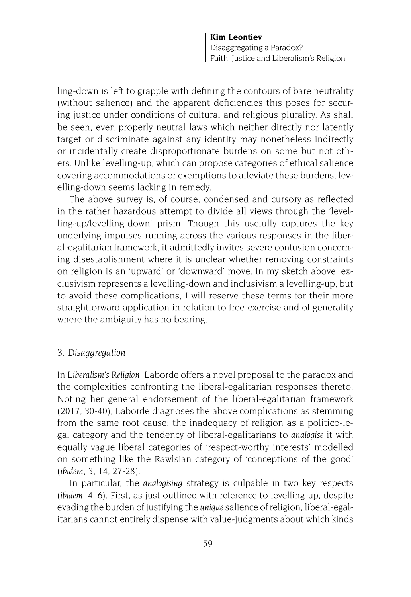ling-down is left to grapple with defining the contours of bare neutrality (without salience) and the apparent deficiencies this poses for securing justice under conditions of cultural and religious plurality. As shall be seen, even properly neutral laws which neither directly nor latently target or discriminate against any identity may nonetheless indirectly or incidentally create disproportionate burdens on some but not others. Unlike levelling-up, which can propose categories of ethical salience covering accommodations or exemptions to alleviate these burdens, levelling-down seems lacking in remedy.

The above survey is, of course, condensed and cursory as reflected in the rather hazardous attempt to divide all views through the 'levelling-up/levelling-down' prism. Though this usefully captures the key underlying impulses running across the various responses in the liberal-egalitarian framework, it admittedly invites severe confusion concerning disestablishment where it is unclear whether removing constraints on religion is an 'upward' or 'downward' move. In my sketch above, exclusivism represents a levelling-down and inclusivism a levelling-up, but to avoid these complications, I will reserve these terms for their more straightforward application in relation to free-exercise and of generality where the ambiguity has no bearing.

#### *3. Disaggregation*

In *Liberalism's Religion*, Laborde offers a novel proposal to the paradox and the complexities confronting the liberal-egalitarian responses thereto. Noting her general endorsement of the liberal-egalitarian framework (2017, 30-40), Laborde diagnoses the above complications as stemming from the same root cause: the inadequacy of religion as a politico-legal category and the tendency of liberal-egalitarians to *analogise* it with equally vague liberal categories of 'respect-worthy interests' modelled on something like the Rawlsian category of 'conceptions of the good' (*ibidem*, 3, 14, 27-28).

In particular, the *analogising* strategy is culpable in two key respects (*ibidem*, 4, 6). First, as just outlined with reference to levelling-up, despite evading the burden of justifying the *unique* salience of religion, liberal-egalitarians cannot entirely dispense with value-judgments about which kinds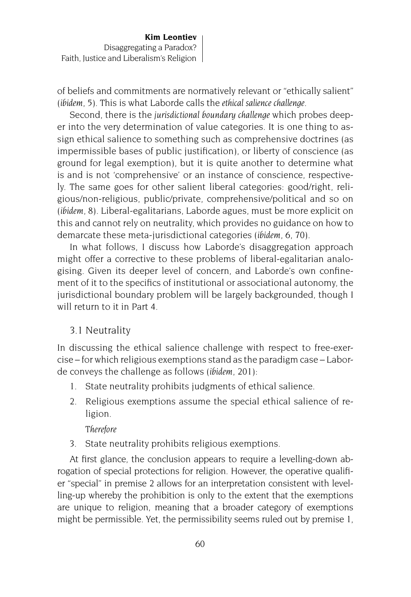of beliefs and commitments are normatively relevant or "ethically salient" (*ibidem*, 5). This is what Laborde calls the *ethical salience challenge*.

Second, there is the *jurisdictional boundary challenge* which probes deeper into the very determination of value categories. It is one thing to assign ethical salience to something such as comprehensive doctrines (as impermissible bases of public justification), or liberty of conscience (as ground for legal exemption), but it is quite another to determine what is and is not 'comprehensive' or an instance of conscience, respectively. The same goes for other salient liberal categories: good/right, religious/non-religious, public/private, comprehensive/political and so on (*ibidem,* 8). Liberal-egalitarians, Laborde agues, must be more explicit on this and cannot rely on neutrality, which provides no guidance on how to demarcate these meta-jurisdictional categories (*ibidem,* 6, 70).

In what follows, I discuss how Laborde's disaggregation approach might offer a corrective to these problems of liberal-egalitarian analogising. Given its deeper level of concern, and Laborde's own confinement of it to the specifics of institutional or associational autonomy, the jurisdictional boundary problem will be largely backgrounded, though I will return to it in Part 4.

### 3.1 Neutrality

In discussing the ethical salience challenge with respect to free-exercise – for which religious exemptions stand as the paradigm case – Laborde conveys the challenge as follows (*ibidem*, 201):

- 1. State neutrality prohibits judgments of ethical salience.
- 2. Religious exemptions assume the special ethical salience of religion.

#### *Therefore*

3. State neutrality prohibits religious exemptions.

At first glance, the conclusion appears to require a levelling-down abrogation of special protections for religion. However, the operative qualifier "special" in premise 2 allows for an interpretation consistent with levelling-up whereby the prohibition is only to the extent that the exemptions are unique to religion, meaning that a broader category of exemptions might be permissible. Yet, the permissibility seems ruled out by premise 1,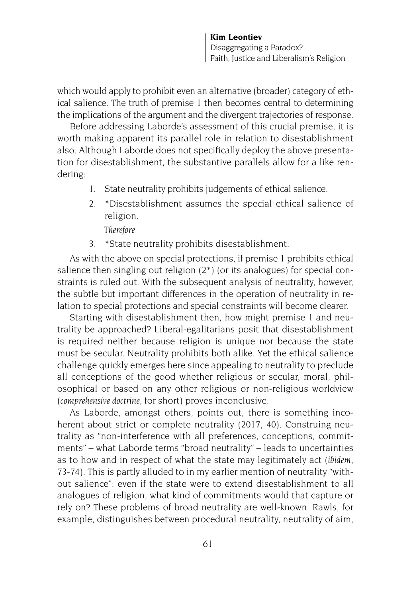which would apply to prohibit even an alternative (broader) category of ethical salience. The truth of premise 1 then becomes central to determining the implications of the argument and the divergent trajectories of response.

Before addressing Laborde's assessment of this crucial premise, it is worth making apparent its parallel role in relation to disestablishment also. Although Laborde does not specifically deploy the above presentation for disestablishment, the substantive parallels allow for a like rendering:

- 1. State neutrality prohibits judgements of ethical salience.
- 2. \*Disestablishment assumes the special ethical salience of religion.

*Therefore*

3. \*State neutrality prohibits disestablishment.

As with the above on special protections, if premise 1 prohibits ethical salience then singling out religion (2\*) (or its analogues) for special constraints is ruled out. With the subsequent analysis of neutrality, however, the subtle but important differences in the operation of neutrality in relation to special protections and special constraints will become clearer.

Starting with disestablishment then, how might premise 1 and neutrality be approached? Liberal-egalitarians posit that disestablishment is required neither because religion is unique nor because the state must be secular. Neutrality prohibits both alike. Yet the ethical salience challenge quickly emerges here since appealing to neutrality to preclude all conceptions of the good whether religious or secular, moral, philosophical or based on any other religious or non-religious worldview (*comprehensive doctrine*, for short) proves inconclusive.

As Laborde, amongst others, points out, there is something incoherent about strict or complete neutrality (2017, 40). Construing neutrality as "non-interference with all preferences, conceptions, commitments" – what Laborde terms "broad neutrality" – leads to uncertainties as to how and in respect of what the state may legitimately act (*ibidem,*  73-74). This is partly alluded to in my earlier mention of neutrality "without salience": even if the state were to extend disestablishment to all analogues of religion, what kind of commitments would that capture or rely on? These problems of broad neutrality are well-known. Rawls, for example, distinguishes between procedural neutrality, neutrality of aim,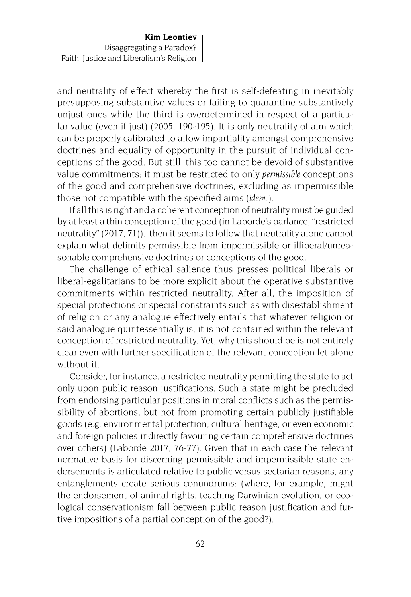and neutrality of effect whereby the first is self-defeating in inevitably presupposing substantive values or failing to quarantine substantively unjust ones while the third is overdetermined in respect of a particular value (even if just) (2005, 190-195). It is only neutrality of aim which can be properly calibrated to allow impartiality amongst comprehensive doctrines and equality of opportunity in the pursuit of individual conceptions of the good. But still, this too cannot be devoid of substantive value commitments: it must be restricted to only *permissible* conceptions of the good and comprehensive doctrines, excluding as impermissible those not compatible with the specified aims (*idem*.).

If all this is right and a coherent conception of neutrality must be guided by at least a thin conception of the good (in Laborde's parlance, "restricted neutrality" (2017, 71)). then it seems to follow that neutrality alone cannot explain what delimits permissible from impermissible or illiberal/unreasonable comprehensive doctrines or conceptions of the good.

The challenge of ethical salience thus presses political liberals or liberal-egalitarians to be more explicit about the operative substantive commitments within restricted neutrality. After all, the imposition of special protections or special constraints such as with disestablishment of religion or any analogue effectively entails that whatever religion or said analogue quintessentially is, it is not contained within the relevant conception of restricted neutrality. Yet, why this should be is not entirely clear even with further specification of the relevant conception let alone without it.

Consider, for instance, a restricted neutrality permitting the state to act only upon public reason justifications. Such a state might be precluded from endorsing particular positions in moral conflicts such as the permissibility of abortions, but not from promoting certain publicly justifiable goods (e.g. environmental protection, cultural heritage, or even economic and foreign policies indirectly favouring certain comprehensive doctrines over others) (Laborde 2017, 76-77). Given that in each case the relevant normative basis for discerning permissible and impermissible state endorsements is articulated relative to public versus sectarian reasons, any entanglements create serious conundrums: (where, for example, might the endorsement of animal rights, teaching Darwinian evolution, or ecological conservationism fall between public reason justification and furtive impositions of a partial conception of the good?).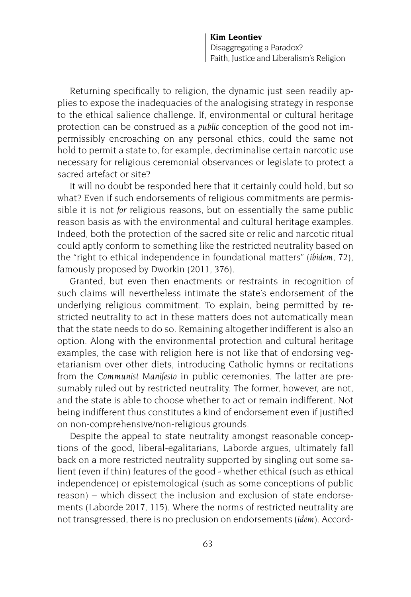Returning specifically to religion, the dynamic just seen readily applies to expose the inadequacies of the analogising strategy in response to the ethical salience challenge. If, environmental or cultural heritage protection can be construed as a *public* conception of the good not impermissibly encroaching on any personal ethics, could the same not hold to permit a state to, for example, decriminalise certain narcotic use necessary for religious ceremonial observances or legislate to protect a sacred artefact or site?

It will no doubt be responded here that it certainly could hold, but so what? Even if such endorsements of religious commitments are permissible it is not *for* religious reasons, but on essentially the same public reason basis as with the environmental and cultural heritage examples. Indeed, both the protection of the sacred site or relic and narcotic ritual could aptly conform to something like the restricted neutrality based on the "right to ethical independence in foundational matters" (*ibidem*, 72), famously proposed by Dworkin (2011, 376).

Granted, but even then enactments or restraints in recognition of such claims will nevertheless intimate the state's endorsement of the underlying religious commitment. To explain, being permitted by restricted neutrality to act in these matters does not automatically mean that the state needs to do so. Remaining altogether indifferent is also an option. Along with the environmental protection and cultural heritage examples, the case with religion here is not like that of endorsing vegetarianism over other diets, introducing Catholic hymns or recitations from the *Communist Manifesto* in public ceremonies. The latter are presumably ruled out by restricted neutrality. The former, however, are not, and the state is able to choose whether to act or remain indifferent. Not being indifferent thus constitutes a kind of endorsement even if justified on non-comprehensive/non-religious grounds.

Despite the appeal to state neutrality amongst reasonable conceptions of the good, liberal-egalitarians, Laborde argues, ultimately fall back on a more restricted neutrality supported by singling out some salient (even if thin) features of the good - whether ethical (such as ethical independence) or epistemological (such as some conceptions of public reason) – which dissect the inclusion and exclusion of state endorsements (Laborde 2017, 115). Where the norms of restricted neutrality are not transgressed, there is no preclusion on endorsements (*idem*). Accord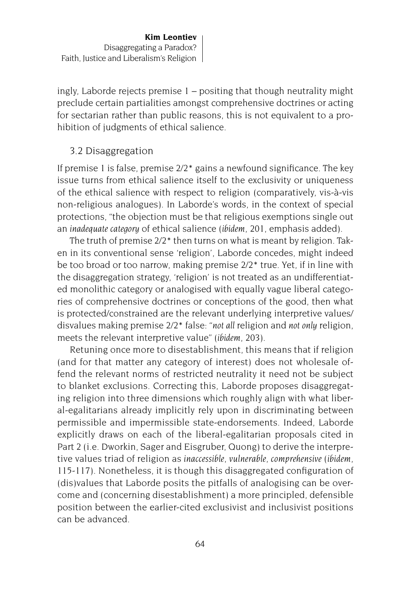ingly, Laborde rejects premise 1 – positing that though neutrality might preclude certain partialities amongst comprehensive doctrines or acting for sectarian rather than public reasons, this is not equivalent to a prohibition of judgments of ethical salience.

## 3.2 Disaggregation

If premise 1 is false, premise 2/2\* gains a newfound significance. The key issue turns from ethical salience itself to the exclusivity or uniqueness of the ethical salience with respect to religion (comparatively, vis-à-vis non-religious analogues). In Laborde's words, in the context of special protections, "the objection must be that religious exemptions single out an *inadequate category* of ethical salience (*ibidem*, 201, emphasis added).

The truth of premise 2/2\* then turns on what is meant by religion. Taken in its conventional sense 'religion', Laborde concedes, might indeed be too broad or too narrow, making premise 2/2\* true. Yet, if in line with the disaggregation strategy, 'religion' is not treated as an undifferentiated monolithic category or analogised with equally vague liberal categories of comprehensive doctrines or conceptions of the good, then what is protected/constrained are the relevant underlying interpretive values/ disvalues making premise 2/2\* false: "*not all* religion and *not only* religion, meets the relevant interpretive value" (*ibidem*, 203).

Retuning once more to disestablishment, this means that if religion (and for that matter any category of interest) does not wholesale offend the relevant norms of restricted neutrality it need not be subject to blanket exclusions. Correcting this, Laborde proposes disaggregating religion into three dimensions which roughly align with what liberal-egalitarians already implicitly rely upon in discriminating between permissible and impermissible state-endorsements. Indeed, Laborde explicitly draws on each of the liberal-egalitarian proposals cited in Part 2 (i.e. Dworkin, Sager and Eisgruber, Quong) to derive the interpretive values triad of religion as *inaccessible, vulnerable*, *comprehensive* (*ibidem*, 115-117). Nonetheless, it is though this disaggregated configuration of (dis)values that Laborde posits the pitfalls of analogising can be overcome and (concerning disestablishment) a more principled, defensible position between the earlier-cited exclusivist and inclusivist positions can be advanced.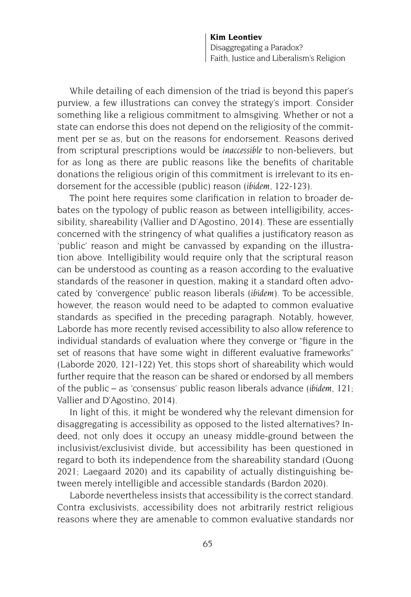While detailing of each dimension of the triad is beyond this paper's purview, a few illustrations can convey the strategy's import. Consider something like a religious commitment to almsgiving. Whether or not a state can endorse this does not depend on the religiosity of the commitment per se as, but on the reasons for endorsement. Reasons derived from scriptural prescriptions would be *inaccessible* to non-believers, but for as long as there are public reasons like the benefits of charitable donations the religious origin of this commitment is irrelevant to its endorsement for the accessible (public) reason (*ibidem*, 122-123).

The point here requires some clarification in relation to broader debates on the typology of public reason as between intelligibility, accessibility, shareability (Vallier and D'Agostino, 2014). These are essentially concerned with the stringency of what qualifies a justificatory reason as 'public' reason and might be canvassed by expanding on the illustration above. Intelligibility would require only that the scriptural reason can be understood as counting as a reason according to the evaluative standards of the reasoner in question, making it a standard often advocated by 'convergence' public reason liberals (*ibidem*). To be accessible, however, the reason would need to be adapted to common evaluative standards as specified in the preceding paragraph. Notably, however, Laborde has more recently revised accessibility to also allow reference to individual standards of evaluation where they converge or "figure in the set of reasons that have some wight in different evaluative frameworks" (Laborde 2020, 121-122) Yet, this stops short of shareability which would further require that the reason can be shared or endorsed by all members of the public – as 'consensus' public reason liberals advance (*ibidem*, 121; Vallier and D'Agostino, 2014).

In light of this, it might be wondered why the relevant dimension for disaggregating is accessibility as opposed to the listed alternatives? Indeed, not only does it occupy an uneasy middle-ground between the inclusivist/exclusivist divide, but accessibility has been questioned in regard to both its independence from the shareability standard (Quong 2021; Laegaard 2020) and its capability of actually distinguishing between merely intelligible and accessible standards (Bardon 2020).

Laborde nevertheless insists that accessibility is the correct standard. Contra exclusivists, accessibility does not arbitrarily restrict religious reasons where they are amenable to common evaluative standards nor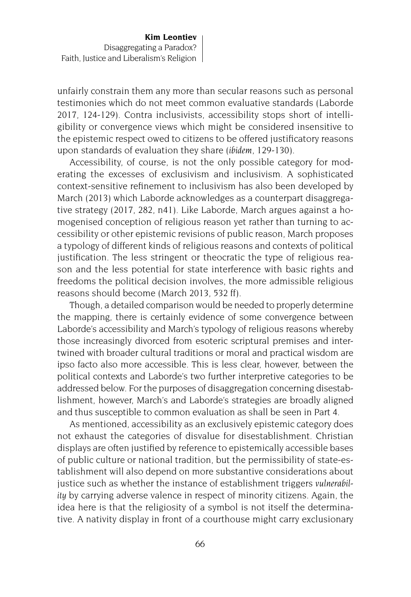unfairly constrain them any more than secular reasons such as personal testimonies which do not meet common evaluative standards (Laborde 2017, 124-129). Contra inclusivists, accessibility stops short of intelligibility or convergence views which might be considered insensitive to the epistemic respect owed to citizens to be offered justificatory reasons upon standards of evaluation they share (*ibidem*, 129-130).

Accessibility, of course, is not the only possible category for moderating the excesses of exclusivism and inclusivism. A sophisticated context-sensitive refinement to inclusivism has also been developed by March (2013) which Laborde acknowledges as a counterpart disaggregative strategy (2017, 282, n41). Like Laborde, March argues against a homogenised conception of religious reason yet rather than turning to accessibility or other epistemic revisions of public reason, March proposes a typology of different kinds of religious reasons and contexts of political justification. The less stringent or theocratic the type of religious reason and the less potential for state interference with basic rights and freedoms the political decision involves, the more admissible religious reasons should become (March 2013, 532 ff).

Though, a detailed comparison would be needed to properly determine the mapping, there is certainly evidence of some convergence between Laborde's accessibility and March's typology of religious reasons whereby those increasingly divorced from esoteric scriptural premises and intertwined with broader cultural traditions or moral and practical wisdom are ipso facto also more accessible. This is less clear, however, between the political contexts and Laborde's two further interpretive categories to be addressed below. For the purposes of disaggregation concerning disestablishment, however, March's and Laborde's strategies are broadly aligned and thus susceptible to common evaluation as shall be seen in Part 4.

As mentioned, accessibility as an exclusively epistemic category does not exhaust the categories of disvalue for disestablishment. Christian displays are often justified by reference to epistemically accessible bases of public culture or national tradition, but the permissibility of state-establishment will also depend on more substantive considerations about justice such as whether the instance of establishment triggers *vulnerability* by carrying adverse valence in respect of minority citizens. Again, the idea here is that the religiosity of a symbol is not itself the determinative. A nativity display in front of a courthouse might carry exclusionary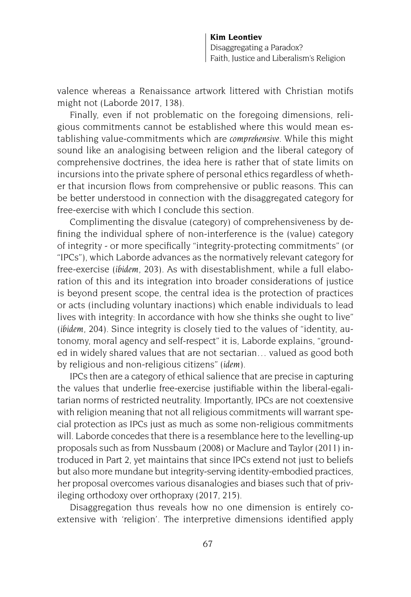valence whereas a Renaissance artwork littered with Christian motifs might not (Laborde 2017, 138).

Finally, even if not problematic on the foregoing dimensions, religious commitments cannot be established where this would mean establishing value-commitments which are *comprehensive*. While this might sound like an analogising between religion and the liberal category of comprehensive doctrines, the idea here is rather that of state limits on incursions into the private sphere of personal ethics regardless of whether that incursion flows from comprehensive or public reasons. This can be better understood in connection with the disaggregated category for free-exercise with which I conclude this section.

Complimenting the disvalue (category) of comprehensiveness by defining the individual sphere of non-interference is the (value) category of integrity - or more specifically "integrity-protecting commitments" (or "IPCs"), which Laborde advances as the normatively relevant category for free-exercise (*ibidem*, 203). As with disestablishment, while a full elaboration of this and its integration into broader considerations of justice is beyond present scope, the central idea is the protection of practices or acts (including voluntary inactions) which enable individuals to lead lives with integrity: In accordance with how she thinks she ought to live" (*ibidem*, 204). Since integrity is closely tied to the values of "identity, autonomy, moral agency and self-respect" it is, Laborde explains, "grounded in widely shared values that are not sectarian… valued as good both by religious and non-religious citizens" (*idem*).

IPCs then are a category of ethical salience that are precise in capturing the values that underlie free-exercise justifiable within the liberal-egalitarian norms of restricted neutrality. Importantly, IPCs are not coextensive with religion meaning that not all religious commitments will warrant special protection as IPCs just as much as some non-religious commitments will. Laborde concedes that there is a resemblance here to the levelling-up proposals such as from Nussbaum (2008) or Maclure and Taylor (2011) introduced in Part 2, yet maintains that since IPCs extend not just to beliefs but also more mundane but integrity-serving identity-embodied practices, her proposal overcomes various disanalogies and biases such that of privileging orthodoxy over orthopraxy (2017, 215).

Disaggregation thus reveals how no one dimension is entirely coextensive with 'religion'. The interpretive dimensions identified apply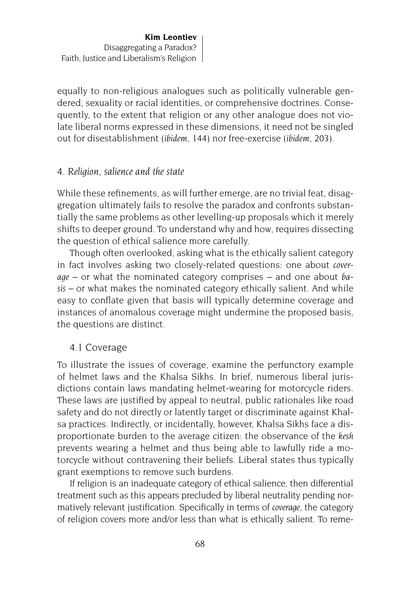equally to non-religious analogues such as politically vulnerable gendered, sexuality or racial identities, or comprehensive doctrines. Consequently, to the extent that religion or any other analogue does not violate liberal norms expressed in these dimensions, it need not be singled out for disestablishment (*ibidem*, 144) nor free-exercise (*ibidem*, 203).

## *4. Religion, salience and the state*

While these refinements, as will further emerge, are no trivial feat, disaggregation ultimately fails to resolve the paradox and confronts substantially the same problems as other levelling-up proposals which it merely shifts to deeper ground. To understand why and how, requires dissecting the question of ethical salience more carefully.

Though often overlooked, asking what is the ethically salient category in fact involves asking two closely-related questions: one about *coverage* – or what the nominated category comprises – and one about *basis* – or what makes the nominated category ethically salient. And while easy to conflate given that basis will typically determine coverage and instances of anomalous coverage might undermine the proposed basis, the questions are distinct.

### 4.1 Coverage

To illustrate the issues of coverage, examine the perfunctory example of helmet laws and the Khalsa Sikhs. In brief, numerous liberal jurisdictions contain laws mandating helmet-wearing for motorcycle riders. These laws are justified by appeal to neutral, public rationales like road safety and do not directly or latently target or discriminate against Khalsa practices. Indirectly, or incidentally, however, Khalsa Sikhs face a disproportionate burden to the average citizen: the observance of the *kesh* prevents wearing a helmet and thus being able to lawfully ride a motorcycle without contravening their beliefs. Liberal states thus typically grant exemptions to remove such burdens.

If religion is an inadequate category of ethical salience, then differential treatment such as this appears precluded by liberal neutrality pending normatively relevant justification. Specifically in terms of *coverage*, the category of religion covers more and/or less than what is ethically salient. To reme-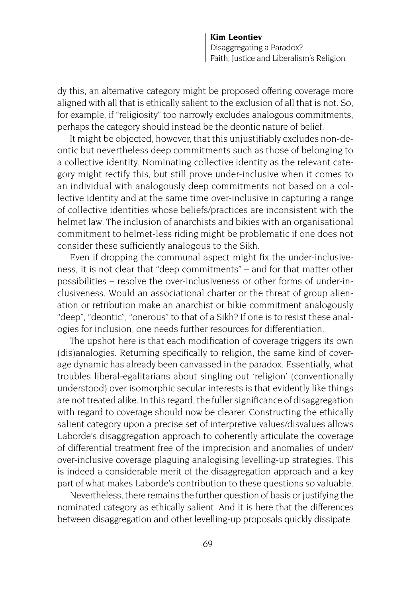dy this, an alternative category might be proposed offering coverage more aligned with all that is ethically salient to the exclusion of all that is not. So, for example, if "religiosity" too narrowly excludes analogous commitments, perhaps the category should instead be the deontic nature of belief.

It might be objected, however, that this unjustifiably excludes non-deontic but nevertheless deep commitments such as those of belonging to a collective identity. Nominating collective identity as the relevant category might rectify this, but still prove under-inclusive when it comes to an individual with analogously deep commitments not based on a collective identity and at the same time over-inclusive in capturing a range of collective identities whose beliefs/practices are inconsistent with the helmet law. The inclusion of anarchists and bikies with an organisational commitment to helmet-less riding might be problematic if one does not consider these sufficiently analogous to the Sikh.

Even if dropping the communal aspect might fix the under-inclusiveness, it is not clear that "deep commitments" – and for that matter other possibilities – resolve the over-inclusiveness or other forms of under-inclusiveness. Would an associational charter or the threat of group alienation or retribution make an anarchist or bikie commitment analogously "deep", "deontic", "onerous" to that of a Sikh? If one is to resist these analogies for inclusion, one needs further resources for differentiation.

The upshot here is that each modification of coverage triggers its own (dis)analogies. Returning specifically to religion, the same kind of coverage dynamic has already been canvassed in the paradox. Essentially, what troubles liberal-egalitarians about singling out 'religion' (conventionally understood) over isomorphic secular interests is that evidently like things are not treated alike. In this regard, the fuller significance of disaggregation with regard to coverage should now be clearer. Constructing the ethically salient category upon a precise set of interpretive values/disvalues allows Laborde's disaggregation approach to coherently articulate the coverage of differential treatment free of the imprecision and anomalies of under/ over-inclusive coverage plaguing analogising levelling-up strategies. This is indeed a considerable merit of the disaggregation approach and a key part of what makes Laborde's contribution to these questions so valuable.

Nevertheless, there remains the further question of basis or justifying the nominated category as ethically salient. And it is here that the differences between disaggregation and other levelling-up proposals quickly dissipate.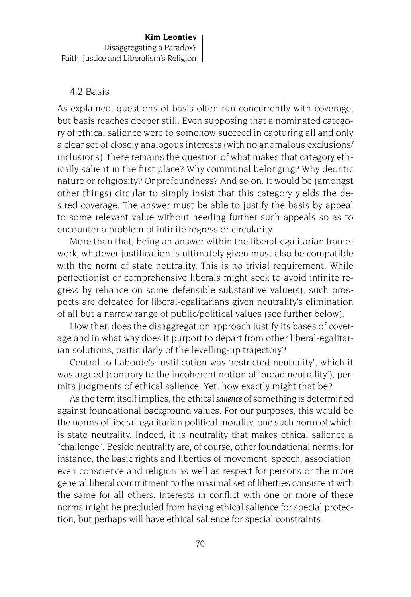#### 4.2 Basis

As explained, questions of basis often run concurrently with coverage, but basis reaches deeper still. Even supposing that a nominated category of ethical salience were to somehow succeed in capturing all and only a clear set of closely analogous interests (with no anomalous exclusions/ inclusions), there remains the question of what makes that category ethically salient in the first place? Why communal belonging? Why deontic nature or religiosity? Or profoundness? And so on. It would be (amongst other things) circular to simply insist that this category yields the desired coverage. The answer must be able to justify the basis by appeal to some relevant value without needing further such appeals so as to encounter a problem of infinite regress or circularity.

More than that, being an answer within the liberal-egalitarian framework, whatever justification is ultimately given must also be compatible with the norm of state neutrality. This is no trivial requirement. While perfectionist or comprehensive liberals might seek to avoid infinite regress by reliance on some defensible substantive value(s), such prospects are defeated for liberal-egalitarians given neutrality's elimination of all but a narrow range of public/political values (see further below).

How then does the disaggregation approach justify its bases of coverage and in what way does it purport to depart from other liberal-egalitarian solutions, particularly of the levelling-up trajectory?

Central to Laborde's justification was 'restricted neutrality', which it was argued (contrary to the incoherent notion of 'broad neutrality'), permits judgments of ethical salience. Yet, how exactly might that be?

As the term itself implies, the ethical *salience* of something is determined against foundational background values. For our purposes, this would be the norms of liberal-egalitarian political morality, one such norm of which is state neutrality. Indeed, it is neutrality that makes ethical salience a "challenge". Beside neutrality are, of course, other foundational norms: for instance, the basic rights and liberties of movement, speech, association, even conscience and religion as well as respect for persons or the more general liberal commitment to the maximal set of liberties consistent with the same for all others. Interests in conflict with one or more of these norms might be precluded from having ethical salience for special protection, but perhaps will have ethical salience for special constraints.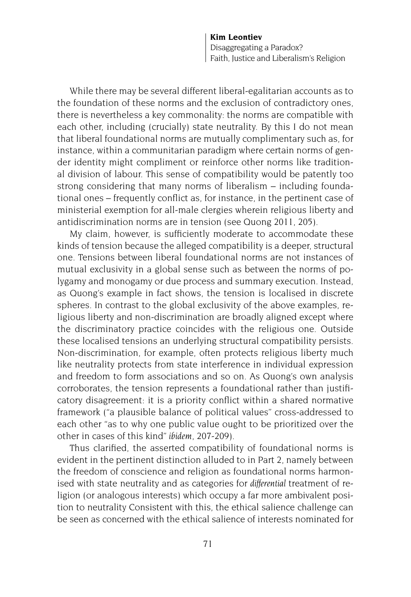While there may be several different liberal-egalitarian accounts as to the foundation of these norms and the exclusion of contradictory ones, there is nevertheless a key commonality: the norms are compatible with each other, including (crucially) state neutrality. By this I do not mean that liberal foundational norms are mutually complimentary such as, for instance, within a communitarian paradigm where certain norms of gender identity might compliment or reinforce other norms like traditional division of labour. This sense of compatibility would be patently too strong considering that many norms of liberalism – including foundational ones – frequently conflict as, for instance, in the pertinent case of ministerial exemption for all-male clergies wherein religious liberty and antidiscrimination norms are in tension (see Quong 2011, 205).

My claim, however, is sufficiently moderate to accommodate these kinds of tension because the alleged compatibility is a deeper, structural one. Tensions between liberal foundational norms are not instances of mutual exclusivity in a global sense such as between the norms of polygamy and monogamy or due process and summary execution. Instead, as Quong's example in fact shows, the tension is localised in discrete spheres. In contrast to the global exclusivity of the above examples, religious liberty and non-discrimination are broadly aligned except where the discriminatory practice coincides with the religious one. Outside these localised tensions an underlying structural compatibility persists. Non-discrimination, for example, often protects religious liberty much like neutrality protects from state interference in individual expression and freedom to form associations and so on. As Quong's own analysis corroborates, the tension represents a foundational rather than justificatory disagreement: it is a priority conflict within a shared normative framework ("a plausible balance of political values" cross-addressed to each other "as to why one public value ought to be prioritized over the other in cases of this kind" *ibidem*, 207-209).

Thus clarified, the asserted compatibility of foundational norms is evident in the pertinent distinction alluded to in Part 2, namely between the freedom of conscience and religion as foundational norms harmonised with state neutrality and as categories for *differential* treatment of religion (or analogous interests) which occupy a far more ambivalent position to neutrality Consistent with this, the ethical salience challenge can be seen as concerned with the ethical salience of interests nominated for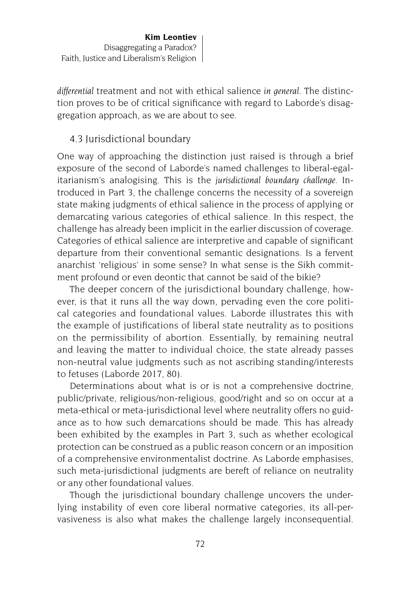*differential* treatment and not with ethical salience *in general*. The distinction proves to be of critical significance with regard to Laborde's disaggregation approach, as we are about to see.

# 4.3 Jurisdictional boundary

One way of approaching the distinction just raised is through a brief exposure of the second of Laborde's named challenges to liberal-egalitarianism's analogising. This is the *jurisdictional boundary challenge*. Introduced in Part 3, the challenge concerns the necessity of a sovereign state making judgments of ethical salience in the process of applying or demarcating various categories of ethical salience. In this respect, the challenge has already been implicit in the earlier discussion of coverage. Categories of ethical salience are interpretive and capable of significant departure from their conventional semantic designations. Is a fervent anarchist 'religious' in some sense? In what sense is the Sikh commitment profound or even deontic that cannot be said of the bikie?

The deeper concern of the jurisdictional boundary challenge, however, is that it runs all the way down, pervading even the core political categories and foundational values. Laborde illustrates this with the example of justifications of liberal state neutrality as to positions on the permissibility of abortion. Essentially, by remaining neutral and leaving the matter to individual choice, the state already passes non-neutral value judgments such as not ascribing standing/interests to fetuses (Laborde 2017, 80).

Determinations about what is or is not a comprehensive doctrine, public/private, religious/non-religious, good/right and so on occur at a meta-ethical or meta-jurisdictional level where neutrality offers no guidance as to how such demarcations should be made. This has already been exhibited by the examples in Part 3, such as whether ecological protection can be construed as a public reason concern or an imposition of a comprehensive environmentalist doctrine. As Laborde emphasises, such meta-jurisdictional judgments are bereft of reliance on neutrality or any other foundational values.

Though the jurisdictional boundary challenge uncovers the underlying instability of even core liberal normative categories, its all-pervasiveness is also what makes the challenge largely inconsequential.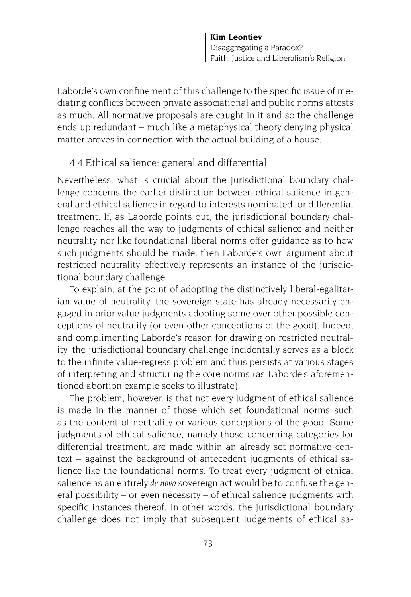Laborde's own confinement of this challenge to the specific issue of mediating conflicts between private associational and public norms attests as much. All normative proposals are caught in it and so the challenge ends up redundant – much like a metaphysical theory denying physical matter proves in connection with the actual building of a house.

# 4.4 Ethical salience: general and differential

Nevertheless, what is crucial about the jurisdictional boundary challenge concerns the earlier distinction between ethical salience in general and ethical salience in regard to interests nominated for differential treatment. If, as Laborde points out, the jurisdictional boundary challenge reaches all the way to judgments of ethical salience and neither neutrality nor like foundational liberal norms offer guidance as to how such judgments should be made, then Laborde's own argument about restricted neutrality effectively represents an instance of the jurisdictional boundary challenge.

To explain, at the point of adopting the distinctively liberal-egalitarian value of neutrality, the sovereign state has already necessarily engaged in prior value judgments adopting some over other possible conceptions of neutrality (or even other conceptions of the good). Indeed, and complimenting Laborde's reason for drawing on restricted neutrality, the jurisdictional boundary challenge incidentally serves as a block to the infinite value-regress problem and thus persists at various stages of interpreting and structuring the core norms (as Laborde's aforementioned abortion example seeks to illustrate).

The problem, however, is that not every judgment of ethical salience is made in the manner of those which set foundational norms such as the content of neutrality or various conceptions of the good. Some judgments of ethical salience, namely those concerning categories for differential treatment, are made within an already set normative context – against the background of antecedent judgments of ethical salience like the foundational norms. To treat every judgment of ethical salience as an entirely *de novo* sovereign act would be to confuse the general possibility – or even necessity – of ethical salience judgments with specific instances thereof. In other words, the jurisdictional boundary challenge does not imply that subsequent judgements of ethical sa-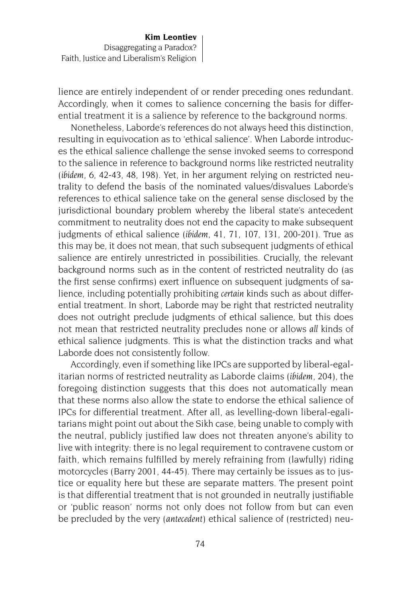lience are entirely independent of or render preceding ones redundant. Accordingly, when it comes to salience concerning the basis for differential treatment it is a salience by reference to the background norms.

Nonetheless, Laborde's references do not always heed this distinction, resulting in equivocation as to 'ethical salience'. When Laborde introduces the ethical salience challenge the sense invoked seems to correspond to the salience in reference to background norms like restricted neutrality (*ibidem*, 6, 42-43, 48, 198). Yet, in her argument relying on restricted neutrality to defend the basis of the nominated values/disvalues Laborde's references to ethical salience take on the general sense disclosed by the jurisdictional boundary problem whereby the liberal state's antecedent commitment to neutrality does not end the capacity to make subsequent judgments of ethical salience (*ibidem*, 41, 71, 107, 131, 200-201). True as this may be, it does not mean, that such subsequent judgments of ethical salience are entirely unrestricted in possibilities. Crucially, the relevant background norms such as in the content of restricted neutrality do (as the first sense confirms) exert influence on subsequent judgments of salience, including potentially prohibiting *certain* kinds such as about differential treatment. In short, Laborde may be right that restricted neutrality does not outright preclude judgments of ethical salience, but this does not mean that restricted neutrality precludes none or allows *all* kinds of ethical salience judgments. This is what the distinction tracks and what Laborde does not consistently follow.

Accordingly, even if something like IPCs are supported by liberal-egalitarian norms of restricted neutrality as Laborde claims (*ibidem*, 204), the foregoing distinction suggests that this does not automatically mean that these norms also allow the state to endorse the ethical salience of IPCs for differential treatment. After all, as levelling-down liberal-egalitarians might point out about the Sikh case, being unable to comply with the neutral, publicly justified law does not threaten anyone's ability to live with integrity: there is no legal requirement to contravene custom or faith, which remains fulfilled by merely refraining from (lawfully) riding motorcycles (Barry 2001, 44-45). There may certainly be issues as to justice or equality here but these are separate matters. The present point is that differential treatment that is not grounded in neutrally justifiable or 'public reason' norms not only does not follow from but can even be precluded by the very (*antecedent*) ethical salience of (restricted) neu-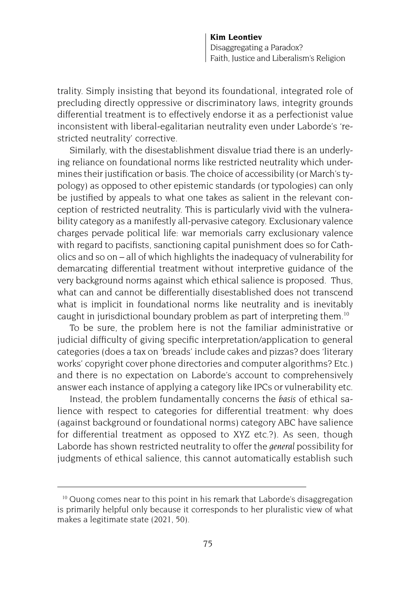trality. Simply insisting that beyond its foundational, integrated role of precluding directly oppressive or discriminatory laws, integrity grounds differential treatment is to effectively endorse it as a perfectionist value inconsistent with liberal-egalitarian neutrality even under Laborde's 'restricted neutrality' corrective.

Similarly, with the disestablishment disvalue triad there is an underlying reliance on foundational norms like restricted neutrality which undermines their justification or basis. The choice of accessibility (or March's typology) as opposed to other epistemic standards (or typologies) can only be justified by appeals to what one takes as salient in the relevant conception of restricted neutrality. This is particularly vivid with the vulnerability category as a manifestly all-pervasive category. Exclusionary valence charges pervade political life: war memorials carry exclusionary valence with regard to pacifists, sanctioning capital punishment does so for Catholics and so on – all of which highlights the inadequacy of vulnerability for demarcating differential treatment without interpretive guidance of the very background norms against which ethical salience is proposed. Thus, what can and cannot be differentially disestablished does not transcend what is implicit in foundational norms like neutrality and is inevitably caught in jurisdictional boundary problem as part of interpreting them.10

To be sure, the problem here is not the familiar administrative or judicial difficulty of giving specific interpretation/application to general categories (does a tax on 'breads' include cakes and pizzas? does 'literary works' copyright cover phone directories and computer algorithms? Etc.) and there is no expectation on Laborde's account to comprehensively answer each instance of applying a category like IPCs or vulnerability etc.

Instead, the problem fundamentally concerns the *basis* of ethical salience with respect to categories for differential treatment: why does (against background or foundational norms) category ABC have salience for differential treatment as opposed to XYZ etc.?). As seen, though Laborde has shown restricted neutrality to offer the *general* possibility for judgments of ethical salience, this cannot automatically establish such

<sup>&</sup>lt;sup>10</sup> Quong comes near to this point in his remark that Laborde's disaggregation is primarily helpful only because it corresponds to her pluralistic view of what makes a legitimate state (2021, 50).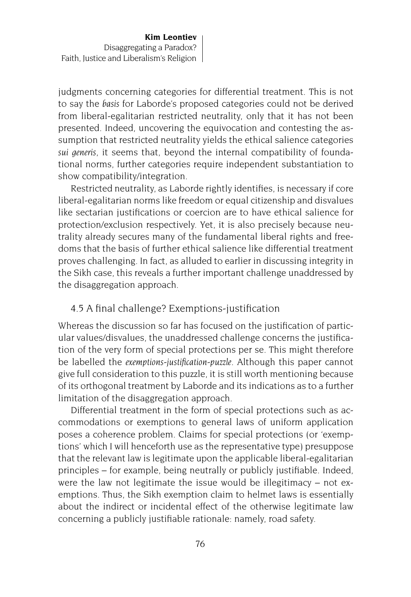judgments concerning categories for differential treatment. This is not to say the *basis* for Laborde's proposed categories could not be derived from liberal-egalitarian restricted neutrality, only that it has not been presented. Indeed, uncovering the equivocation and contesting the assumption that restricted neutrality yields the ethical salience categories *sui generis,* it seems that, beyond the internal compatibility of foundational norms, further categories require independent substantiation to show compatibility/integration.

Restricted neutrality, as Laborde rightly identifies, is necessary if core liberal-egalitarian norms like freedom or equal citizenship and disvalues like sectarian justifications or coercion are to have ethical salience for protection/exclusion respectively. Yet, it is also precisely because neutrality already secures many of the fundamental liberal rights and freedoms that the basis of further ethical salience like differential treatment proves challenging. In fact, as alluded to earlier in discussing integrity in the Sikh case, this reveals a further important challenge unaddressed by the disaggregation approach.

### 4.5 A final challenge? Exemptions-justification

Whereas the discussion so far has focused on the justification of particular values/disvalues, the unaddressed challenge concerns the justification of the very form of special protections per se. This might therefore be labelled the *exemptions-justification-puzzle*. Although this paper cannot give full consideration to this puzzle, it is still worth mentioning because of its orthogonal treatment by Laborde and its indications as to a further limitation of the disaggregation approach.

Differential treatment in the form of special protections such as accommodations or exemptions to general laws of uniform application poses a coherence problem. Claims for special protections (or 'exemptions' which I will henceforth use as the representative type) presuppose that the relevant law is legitimate upon the applicable liberal-egalitarian principles – for example, being neutrally or publicly justifiable. Indeed, were the law not legitimate the issue would be illegitimacy – not exemptions. Thus, the Sikh exemption claim to helmet laws is essentially about the indirect or incidental effect of the otherwise legitimate law concerning a publicly justifiable rationale: namely, road safety.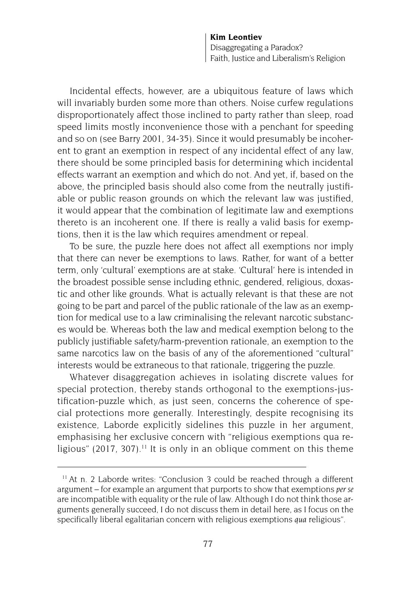Incidental effects, however, are a ubiquitous feature of laws which will invariably burden some more than others. Noise curfew regulations disproportionately affect those inclined to party rather than sleep, road speed limits mostly inconvenience those with a penchant for speeding and so on (see Barry 2001, 34-35). Since it would presumably be incoherent to grant an exemption in respect of any incidental effect of any law, there should be some principled basis for determining which incidental effects warrant an exemption and which do not. And yet, if, based on the above, the principled basis should also come from the neutrally justifiable or public reason grounds on which the relevant law was justified, it would appear that the combination of legitimate law and exemptions thereto is an incoherent one. If there is really a valid basis for exemptions, then it is the law which requires amendment or repeal.

To be sure, the puzzle here does not affect all exemptions nor imply that there can never be exemptions to laws. Rather, for want of a better term, only 'cultural' exemptions are at stake. 'Cultural' here is intended in the broadest possible sense including ethnic, gendered, religious, doxastic and other like grounds. What is actually relevant is that these are not going to be part and parcel of the public rationale of the law as an exemption for medical use to a law criminalising the relevant narcotic substances would be. Whereas both the law and medical exemption belong to the publicly justifiable safety/harm-prevention rationale, an exemption to the same narcotics law on the basis of any of the aforementioned "cultural" interests would be extraneous to that rationale, triggering the puzzle.

Whatever disaggregation achieves in isolating discrete values for special protection, thereby stands orthogonal to the exemptions-justification-puzzle which, as just seen, concerns the coherence of special protections more generally. Interestingly, despite recognising its existence, Laborde explicitly sidelines this puzzle in her argument, emphasising her exclusive concern with "religious exemptions qua religious" (2017, 307).<sup>11</sup> It is only in an oblique comment on this theme

<sup>11</sup> At n. 2 Laborde writes: "Conclusion 3 could be reached through a different argument – for example an argument that purports to show that exemptions *per se* are incompatible with equality or the rule of law. Although I do not think those arguments generally succeed, I do not discuss them in detail here, as I focus on the specifically liberal egalitarian concern with religious exemptions *qua* religious".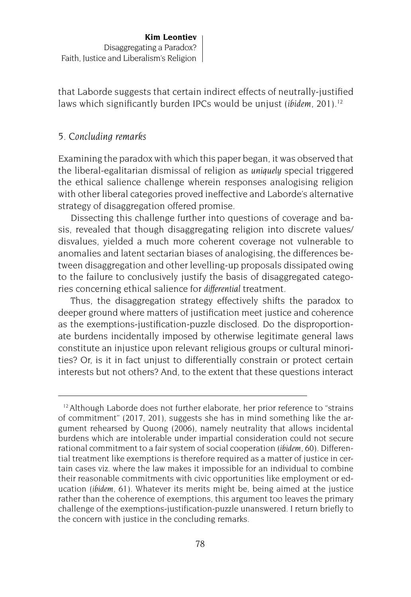that Laborde suggests that certain indirect effects of neutrally-justified laws which significantly burden IPCs would be unjust *(ibidem.* 201).<sup>12</sup>

## *5. Concluding remarks*

Examining the paradox with which this paper began, it was observed that the liberal-egalitarian dismissal of religion as *uniquely* special triggered the ethical salience challenge wherein responses analogising religion with other liberal categories proved ineffective and Laborde's alternative strategy of disaggregation offered promise.

Dissecting this challenge further into questions of coverage and basis, revealed that though disaggregating religion into discrete values/ disvalues, yielded a much more coherent coverage not vulnerable to anomalies and latent sectarian biases of analogising, the differences between disaggregation and other levelling-up proposals dissipated owing to the failure to conclusively justify the basis of disaggregated categories concerning ethical salience for *differential* treatment.

Thus, the disaggregation strategy effectively shifts the paradox to deeper ground where matters of justification meet justice and coherence as the exemptions-justification-puzzle disclosed. Do the disproportionate burdens incidentally imposed by otherwise legitimate general laws constitute an injustice upon relevant religious groups or cultural minorities? Or, is it in fact unjust to differentially constrain or protect certain interests but not others? And, to the extent that these questions interact

<sup>&</sup>lt;sup>12</sup> Although Laborde does not further elaborate, her prior reference to "strains of commitment" (2017, 201), suggests she has in mind something like the argument rehearsed by Quong (2006), namely neutrality that allows incidental burdens which are intolerable under impartial consideration could not secure rational commitment to a fair system of social cooperation (*ibidem*, 60). Differential treatment like exemptions is therefore required as a matter of justice in certain cases viz. where the law makes it impossible for an individual to combine their reasonable commitments with civic opportunities like employment or education (*ibidem*, 61). Whatever its merits might be, being aimed at the justice rather than the coherence of exemptions, this argument too leaves the primary challenge of the exemptions-justification-puzzle unanswered. I return briefly to the concern with justice in the concluding remarks.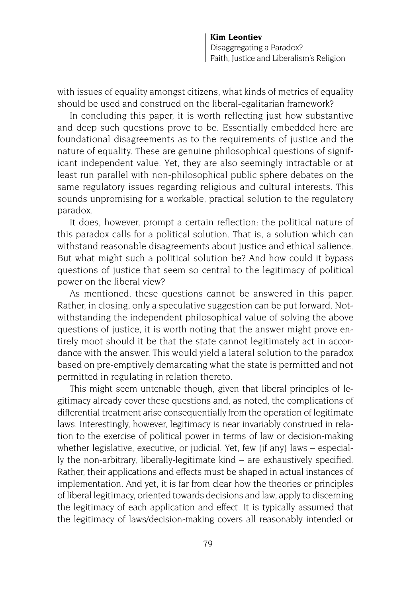with issues of equality amongst citizens, what kinds of metrics of equality should be used and construed on the liberal-egalitarian framework?

In concluding this paper, it is worth reflecting just how substantive and deep such questions prove to be. Essentially embedded here are foundational disagreements as to the requirements of justice and the nature of equality. These are genuine philosophical questions of significant independent value. Yet, they are also seemingly intractable or at least run parallel with non-philosophical public sphere debates on the same regulatory issues regarding religious and cultural interests. This sounds unpromising for a workable, practical solution to the regulatory paradox.

It does, however, prompt a certain reflection: the political nature of this paradox calls for a political solution. That is, a solution which can withstand reasonable disagreements about justice and ethical salience. But what might such a political solution be? And how could it bypass questions of justice that seem so central to the legitimacy of political power on the liberal view?

As mentioned, these questions cannot be answered in this paper. Rather, in closing, only a speculative suggestion can be put forward. Notwithstanding the independent philosophical value of solving the above questions of justice, it is worth noting that the answer might prove entirely moot should it be that the state cannot legitimately act in accordance with the answer. This would yield a lateral solution to the paradox based on pre-emptively demarcating what the state is permitted and not permitted in regulating in relation thereto.

This might seem untenable though, given that liberal principles of legitimacy already cover these questions and, as noted, the complications of differential treatment arise consequentially from the operation of legitimate laws. Interestingly, however, legitimacy is near invariably construed in relation to the exercise of political power in terms of law or decision-making whether legislative, executive, or judicial. Yet, few (if any) laws – especially the non-arbitrary, liberally-legitimate kind – are exhaustively specified. Rather, their applications and effects must be shaped in actual instances of implementation. And yet, it is far from clear how the theories or principles of liberal legitimacy, oriented towards decisions and law, apply to discerning the legitimacy of each application and effect. It is typically assumed that the legitimacy of laws/decision-making covers all reasonably intended or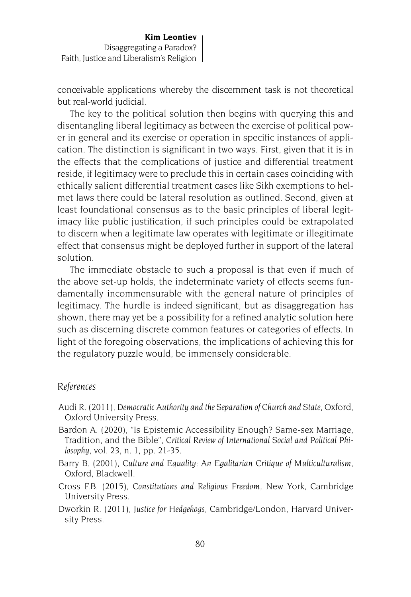conceivable applications whereby the discernment task is not theoretical but real-world judicial.

The key to the political solution then begins with querying this and disentangling liberal legitimacy as between the exercise of political power in general and its exercise or operation in specific instances of application. The distinction is significant in two ways. First, given that it is in the effects that the complications of justice and differential treatment reside, if legitimacy were to preclude this in certain cases coinciding with ethically salient differential treatment cases like Sikh exemptions to helmet laws there could be lateral resolution as outlined. Second, given at least foundational consensus as to the basic principles of liberal legitimacy like public justification, if such principles could be extrapolated to discern when a legitimate law operates with legitimate or illegitimate effect that consensus might be deployed further in support of the lateral solution.

The immediate obstacle to such a proposal is that even if much of the above set-up holds, the indeterminate variety of effects seems fundamentally incommensurable with the general nature of principles of legitimacy. The hurdle is indeed significant, but as disaggregation has shown, there may yet be a possibility for a refined analytic solution here such as discerning discrete common features or categories of effects. In light of the foregoing observations, the implications of achieving this for the regulatory puzzle would, be immensely considerable.

#### *References*

- Audi R. (2011), *Democratic Authority and the Separation of Church and State*, Oxford, Oxford University Press.
- Bardon A. (2020), "Is Epistemic Accessibility Enough? Same-sex Marriage, Tradition, and the Bible", *Critical Review of International Social and Political Philosophy*, vol. 23, n. 1, pp. 21-35.
- Barry B. (2001), *Culture and Equality*: *An Egalitarian Critique of Multiculturalism*, Oxford, Blackwell.
- Cross F.B. (2015), *Constitutions and Religious Freedom,* New York, Cambridge University Press.
- Dworkin R. (2011), *Justice for Hedgehogs*, Cambridge/London, Harvard University Press.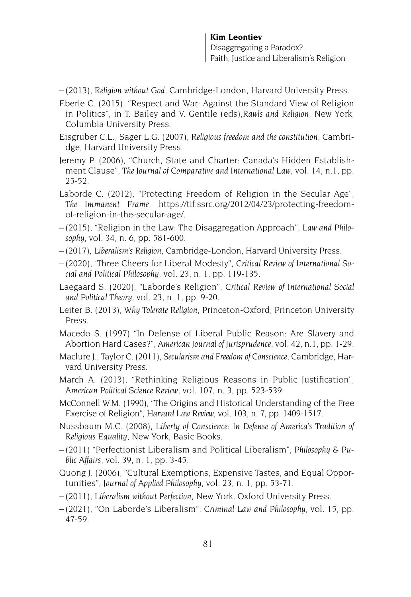- (2013), *Religion without God*, Cambridge-London, Harvard University Press.
- Eberle C. (2015), "Respect and War: Against the Standard View of Religion in Politics", in T. Bailey and V. Gentile (eds),*Rawls and Religion*, New York, Columbia University Press.
- Eisgruber C.L., Sager L.G. (2007), *Religious freedom and the constitution*, Cambridge, Harvard University Press.
- Jeremy P. (2006), "Church, State and Charter: Canada's Hidden Establishment Clause", *The Journal of Comparative and International Law*, vol. 14, n.1, pp. 25-52.
- Laborde C. (2012), "Protecting Freedom of Religion in the Secular Age", *The Immanent Frame*, https://tif.ssrc.org/2012/04/23/protecting-freedomof-religion-in-the-secular-age/.
- (2015), "Religion in the Law: The Disaggregation Approach", *Law and Philosophy*, vol. 34, n. 6, pp. 581-600.
- (2017), *Liberalism's Religion*, Cambridge-London, Harvard University Press.
- (2020), 'Three Cheers for Liberal Modesty", *Critical Review of International Social and Political Philosophy*, vol. 23, n. 1, pp. 119-135.
- Laegaard S. (2020), "Laborde's Religion", *Critical Review of International Social and Political Theory,* vol. 23, n. 1, pp. 9-20.
- Leiter B. (2013), *Why Tolerate Religion*, Princeton-Oxford, Princeton University Press.
- Macedo S. (1997) "In Defense of Liberal Public Reason: Are Slavery and Abortion Hard Cases?", *American Journal of Jurisprudence*, vol. 42, n.1, pp. 1-29.
- Maclure J., Taylor C. (2011), *Secularism and Freedom of Conscience*, Cambridge, Harvard University Press.
- March A. (2013), "Rethinking Religious Reasons in Public Justification", *American Political Science Review*, vol. 107, n. 3, pp. 523-539.
- McConnell W.M. (1990), "The Origins and Historical Understanding of the Free Exercise of Religion", *Harvard Law Review*, vol. 103, n. 7, pp. 1409-1517.
- Nussbaum M.C. (2008), *Liberty of Conscience: In Defense of America's Tradition of Religious Equality*, New York, Basic Books.
- (2011) "Perfectionist Liberalism and Political Liberalism", *Philosophy & Public Affairs*, vol. 39, n. 1, pp. 3-45.
- Quong J. (2006), "Cultural Exemptions, Expensive Tastes, and Equal Opportunities", *Journal of Applied Philosophy*, vol. 23, n. 1, pp. 53-71.
- (2011), *Liberalism without Perfection*, New York, Oxford University Press.
- (2021), "On Laborde's Liberalism", *Criminal Law and Philosophy*, vol. 15, pp. 47-59.